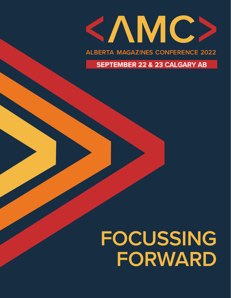

**ALBERTA MAGAZINES CONFERENCE 2022** 

**SEPTEMBER 22 & 2**3 CALGARY AB

# **FOCUSSING FORWARD**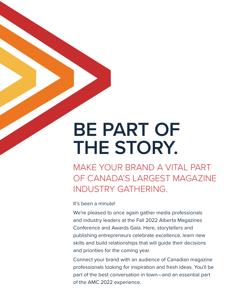### **BE PART OF THE STORY.**

MAKE YOUR BRAND A VITAL PART OF CANADA'S LARGEST MAGAZINE INDUSTRY GATHERING.

It's been a minute!

We're pleased to once again gather media professionals and industry leaders at the Fall 2022 Alberta Magazines Conference and Awards Gala. Here, storytellers and publishing entrepreneurs celebrate excellence, learn new skills and build relationships that will guide their decisions and priorities for the coming year.

Connect your brand with an audience of Canadian magazine professionals looking for inspiration and fresh ideas. You'll be part of the best conversation in town—and an essential part of the AMC 2022 experience.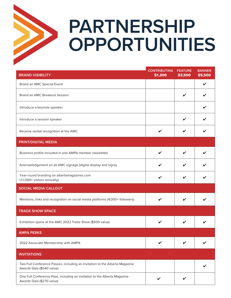

## **PARTNERSHIP OPPORTUNITIES**

| <b>BRAND VISIBILITY</b>                                                                                  | <b>CONTRIBUTING</b><br>\$1,200 | <b>FEATURE</b><br>\$3,500 | <b>BANNER</b><br>\$5,500 |
|----------------------------------------------------------------------------------------------------------|--------------------------------|---------------------------|--------------------------|
| Brand an AMC Special Event                                                                               |                                |                           | V                        |
| Brand an AMC Breakout Session                                                                            |                                |                           |                          |
| Introduce a keynote speaker                                                                              |                                |                           |                          |
| Introduce a session speaker                                                                              |                                | ✔                         |                          |
| Receive verbal recognition at the AMC                                                                    | ✔                              |                           |                          |
| <b>PRINT/DIGITAL MEDIA</b>                                                                               |                                |                           |                          |
| Business profile included in one AMPA member newsletter                                                  | ✔                              |                           |                          |
| Acknowledgement on all AMC signage (digital display and signs)                                           |                                |                           |                          |
| Year-round branding on albertamagazines.com<br>(43,000+ visitors annually)                               | ✔                              | ✔                         |                          |
| <b>SOCIAL MEDIA CALLOUT</b>                                                                              |                                |                           |                          |
| Mentions, links and recognition on social media platforms (4,000+ followers)                             |                                | V                         |                          |
| <b>TRADE SHOW SPACE</b>                                                                                  |                                |                           |                          |
| Exhibition space at the AMC 2022 Trade Show (\$500 value)                                                |                                | V                         |                          |
| <b>AMPA PERKS</b>                                                                                        |                                |                           |                          |
| 2022 Associate Membership with AMPA                                                                      |                                |                           |                          |
| <b>INVITATIONS</b>                                                                                       |                                |                           |                          |
| Two Full Conference Passes, including an invitation to the Alberta Magazine<br>Awards Gala (\$540 value) |                                |                           |                          |
| One Full Conference Pass, including an invitation to the Alberta Magazine<br>Awards Gala (\$270 value)   | V                              | ✔                         |                          |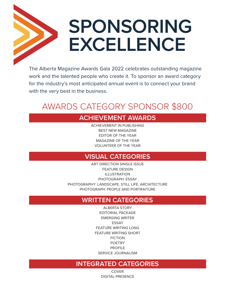## **SPONSORING EXCELLENCE**

The Alberta Magazine Awards Gala 2022 celebrates outstanding magazine work and the talented people who create it. To sponsor an award category for the industry's most anticipated annual event is to connect your brand with the very best in the business.

### AWARDS CATEGORY SPONSOR \$800

### **ACHIEVEMENT AWARDS**

ACHIEVEMENT IN PUBLISHING BEST NEW MAGAZINE EDITOR OF THE YEAR MAGAZINE OF THE YEAR VOLUNTEER OF THE YEAR

#### **VISUAL CATEGORIES**

ART DIRECTION SINGLE ISSUE FEATURE DESIGN ILLUSTRATION PHOTOGRAPH: ESSAY PHOTOGRAPHY: LANDSCAPE, STILL LIFE, ARCHITECTURE PHOTOGRAPH: PEOPLE AND PORTRAITURE

#### **WRITTEN CATEGORIES**

ALBERTA STORY EDITORIAL PACKAGE EMERGING WRITER ESSAY FEATURE WRITING LONG FEATURE WRITING SHORT FICTION POETRY PROFILE SERVICE JOURNALISM

#### **INTEGRATED CATEGORIES**

COVER DIGITAL PRESENCE